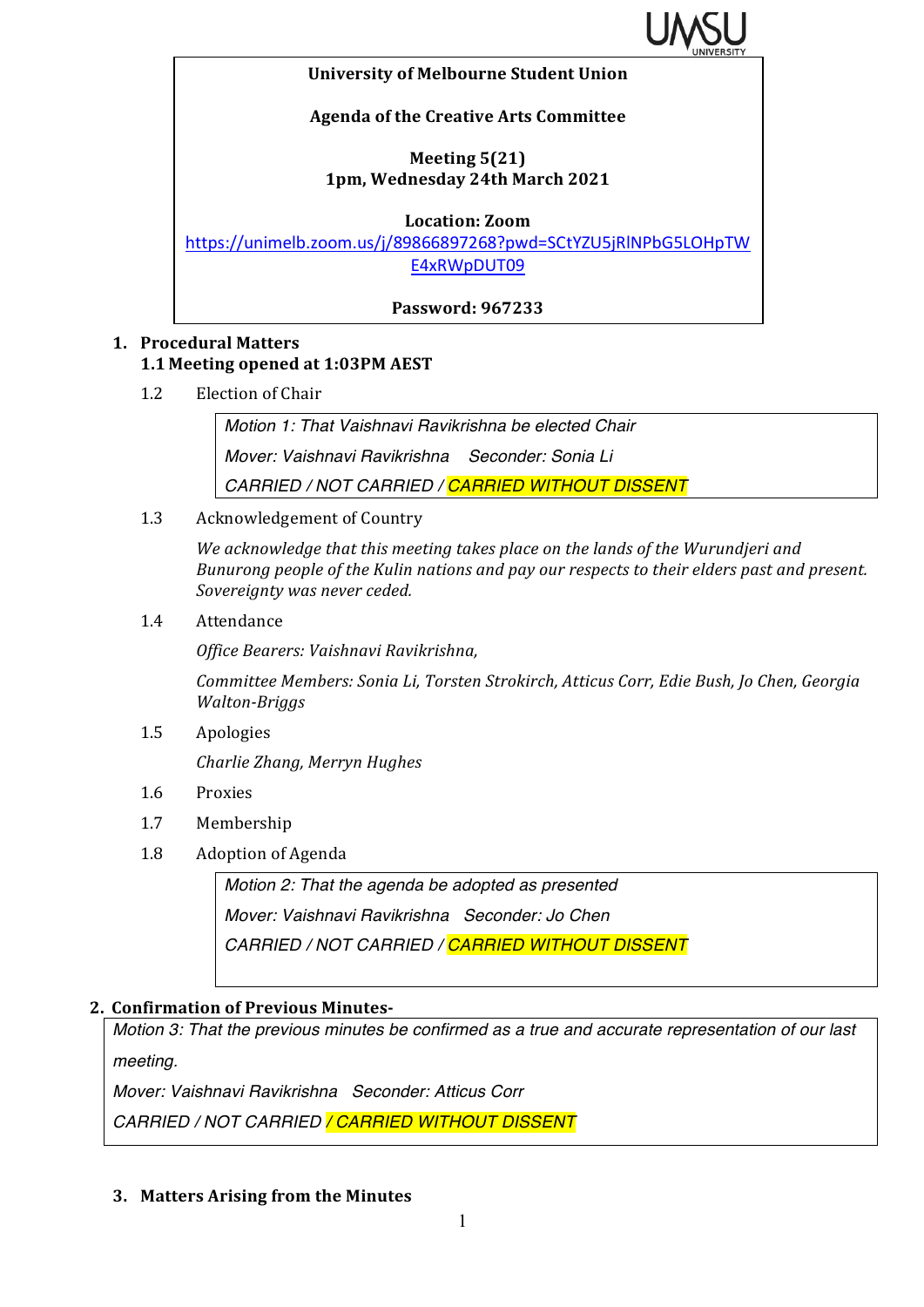

#### **University of Melbourne Student Union**

### **Agenda of the Creative Arts Committee**

## **Meeting 5(21) 1pm, Wednesday 24th March 2021**

**Location: Zoom**

https://unimelb.zoom.us/j/89866897268?pwd=SCtYZU5jRlNPbG5LOHpTW E4xRWpDUT09

**Password: 967233**

# **1. Procedural Matters 1.1 Meeting opened at 1:03PM AEST**

1.2 Election of Chair

*Motion 1: That Vaishnavi Ravikrishna be elected Chair Mover: Vaishnavi Ravikrishna Seconder: Sonia Li CARRIED / NOT CARRIED / CARRIED WITHOUT DISSENT*

1.3 Acknowledgement of Country

We acknowledge that this meeting takes place on the lands of the Wurundjeri and *Bunurong people of the Kulin nations and pay our respects to their elders past and present.* Sovereignty was never ceded.

1.4 Attendance

*Office Bearers: Vaishnavi Ravikrishna,* 

Committee Members: Sonia Li, Torsten Strokirch, Atticus Corr, Edie Bush, Jo Chen, Georgia *Walton-Briggs* 

1.5 Apologies

*Charlie Zhang, Merryn Hughes*

- 1.6 Proxies
- 1.7 Membership
- 1.8 Adoption of Agenda

*Motion 2: That the agenda be adopted as presented Mover: Vaishnavi Ravikrishna Seconder: Jo Chen CARRIED / NOT CARRIED / CARRIED WITHOUT DISSENT*

### **2. Confirmation of Previous Minutes-**

*Motion 3: That the previous minutes be confirmed as a true and accurate representation of our last meeting.*

*Mover: Vaishnavi Ravikrishna Seconder: Atticus Corr*

*CARRIED / NOT CARRIED / CARRIED WITHOUT DISSENT*

### **3. Matters Arising from the Minutes**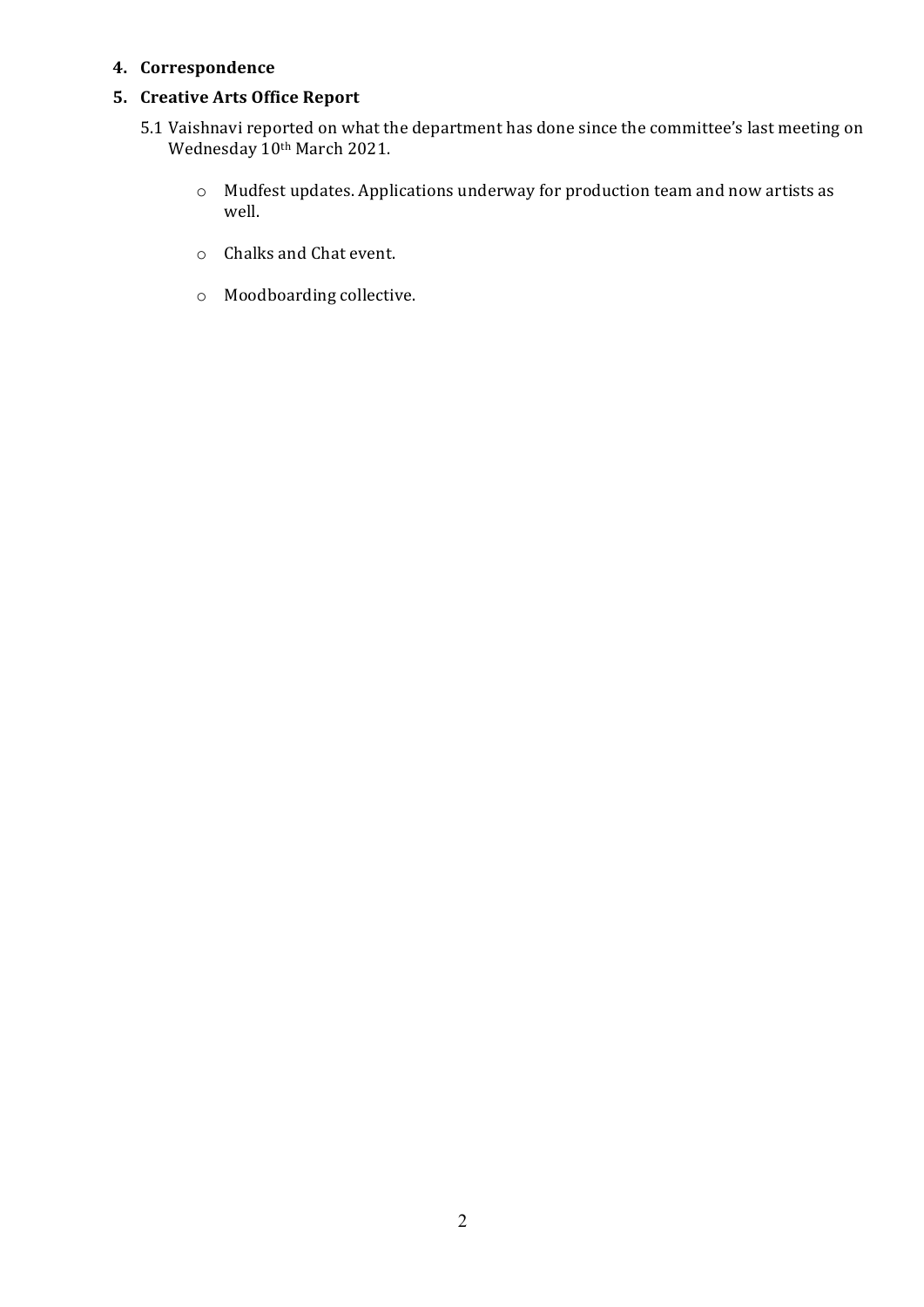#### **4. Correspondence**

### **5. Creative Arts Office Report**

- 5.1 Vaishnavi reported on what the department has done since the committee's last meeting on Wednesday 10th March 2021.
	- $\circ$  Mudfest updates. Applications underway for production team and now artists as well.
	- o Chalks and Chat event.
	- o Moodboarding collective.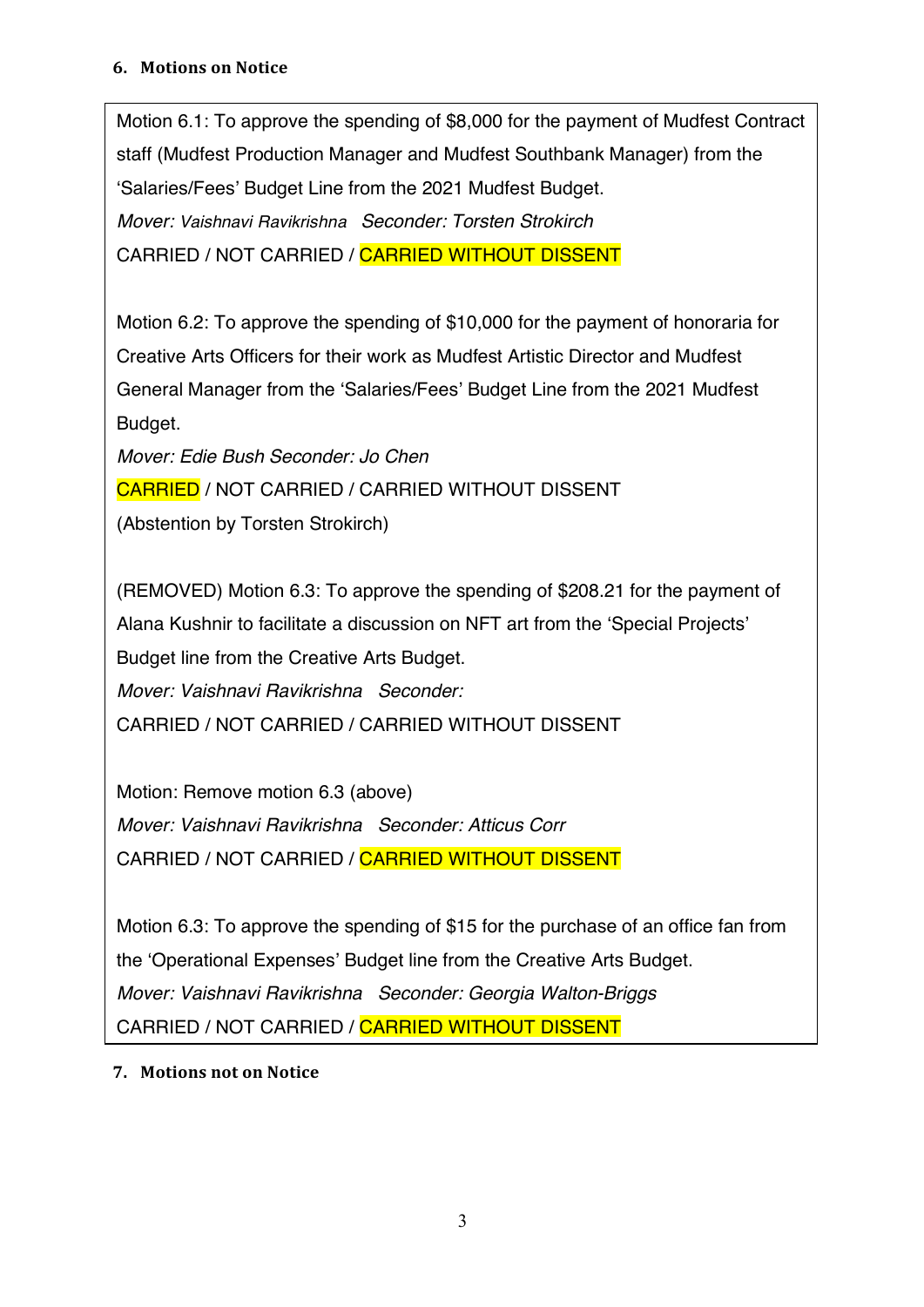#### **6. Motions on Notice**

Motion 6.1: To approve the spending of \$8,000 for the payment of Mudfest Contract staff (Mudfest Production Manager and Mudfest Southbank Manager) from the 'Salaries/Fees' Budget Line from the 2021 Mudfest Budget. *Mover: Vaishnavi Ravikrishna Seconder: Torsten Strokirch*  CARRIED / NOT CARRIED / CARRIED WITHOUT DISSENT

Motion 6.2: To approve the spending of \$10,000 for the payment of honoraria for Creative Arts Officers for their work as Mudfest Artistic Director and Mudfest General Manager from the 'Salaries/Fees' Budget Line from the 2021 Mudfest Budget.

*Mover: Edie Bush Seconder: Jo Chen* 

CARRIED / NOT CARRIED / CARRIED WITHOUT DISSENT

(Abstention by Torsten Strokirch)

(REMOVED) Motion 6.3: To approve the spending of \$208.21 for the payment of Alana Kushnir to facilitate a discussion on NFT art from the 'Special Projects' Budget line from the Creative Arts Budget. *Mover: Vaishnavi Ravikrishna Seconder:* CARRIED / NOT CARRIED / CARRIED WITHOUT DISSENT

Motion: Remove motion 6.3 (above) *Mover: Vaishnavi Ravikrishna Seconder: Atticus Corr* CARRIED / NOT CARRIED / CARRIED WITHOUT DISSENT

Motion 6.3: To approve the spending of \$15 for the purchase of an office fan from the 'Operational Expenses' Budget line from the Creative Arts Budget. *Mover: Vaishnavi Ravikrishna Seconder: Georgia Walton-Briggs*  CARRIED / NOT CARRIED / CARRIED WITHOUT DISSENT

# **7.** Motions not on Notice